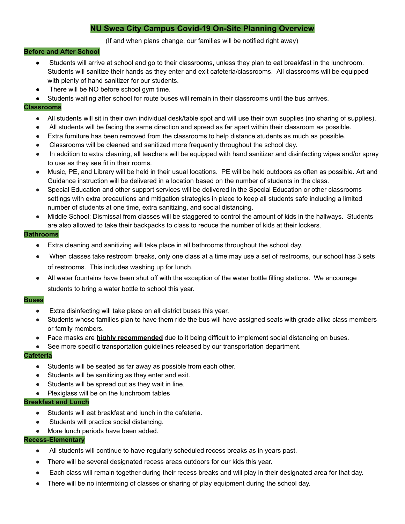# **NU Swea City Campus Covid-19 On-Site Planning Overview**

# (If and when plans change, our families will be notified right away)

### **Before and After School**

- Students will arrive at school and go to their classrooms, unless they plan to eat breakfast in the lunchroom. Students will sanitize their hands as they enter and exit cafeteria/classrooms. All classrooms will be equipped with plenty of hand sanitizer for our students.
- There will be NO before school gym time.
- Students waiting after school for route buses will remain in their classrooms until the bus arrives.

### **Classrooms**

- All students will sit in their own individual desk/table spot and will use their own supplies (no sharing of supplies).
- All students will be facing the same direction and spread as far apart within their classroom as possible.
- Extra furniture has been removed from the classrooms to help distance students as much as possible.
- Classrooms will be cleaned and sanitized more frequently throughout the school day.
- In addition to extra cleaning, all teachers will be equipped with hand sanitizer and disinfecting wipes and/or spray to use as they see fit in their rooms.
- Music, PE, and Library will be held in their usual locations. PE will be held outdoors as often as possible. Art and Guidance instruction will be delivered in a location based on the number of students in the class.
- Special Education and other support services will be delivered in the Special Education or other classrooms settings with extra precautions and mitigation strategies in place to keep all students safe including a limited number of students at one time, extra sanitizing, and social distancing.
- Middle School: Dismissal from classes will be staggered to control the amount of kids in the hallways. Students are also allowed to take their backpacks to class to reduce the number of kids at their lockers.

### **Bathrooms**

- Extra cleaning and sanitizing will take place in all bathrooms throughout the school day.
- When classes take restroom breaks, only one class at a time may use a set of restrooms, our school has 3 sets of restrooms. This includes washing up for lunch.
- All water fountains have been shut off with the exception of the water bottle filling stations. We encourage students to bring a water bottle to school this year.

# **Buses**

- Extra disinfecting will take place on all district buses this year.
- Students whose families plan to have them ride the bus will have assigned seats with grade alike class members or family members.
- Face masks are **highly recommended** due to it being difficult to implement social distancing on buses.
- See more specific transportation guidelines released by our transportation department.

#### **Cafeteria**

- Students will be seated as far away as possible from each other.
- Students will be sanitizing as they enter and exit.
- Students will be spread out as they wait in line.
- Plexiglass will be on the lunchroom tables

# **Breakfast and Lunch**

- Students will eat breakfast and lunch in the cafeteria.
- Students will practice social distancing.
- More lunch periods have been added.

# **Recess-Elementary**

- All students will continue to have regularly scheduled recess breaks as in years past.
- There will be several designated recess areas outdoors for our kids this year.
- Each class will remain together during their recess breaks and will play in their designated area for that day.
- There will be no intermixing of classes or sharing of play equipment during the school day.